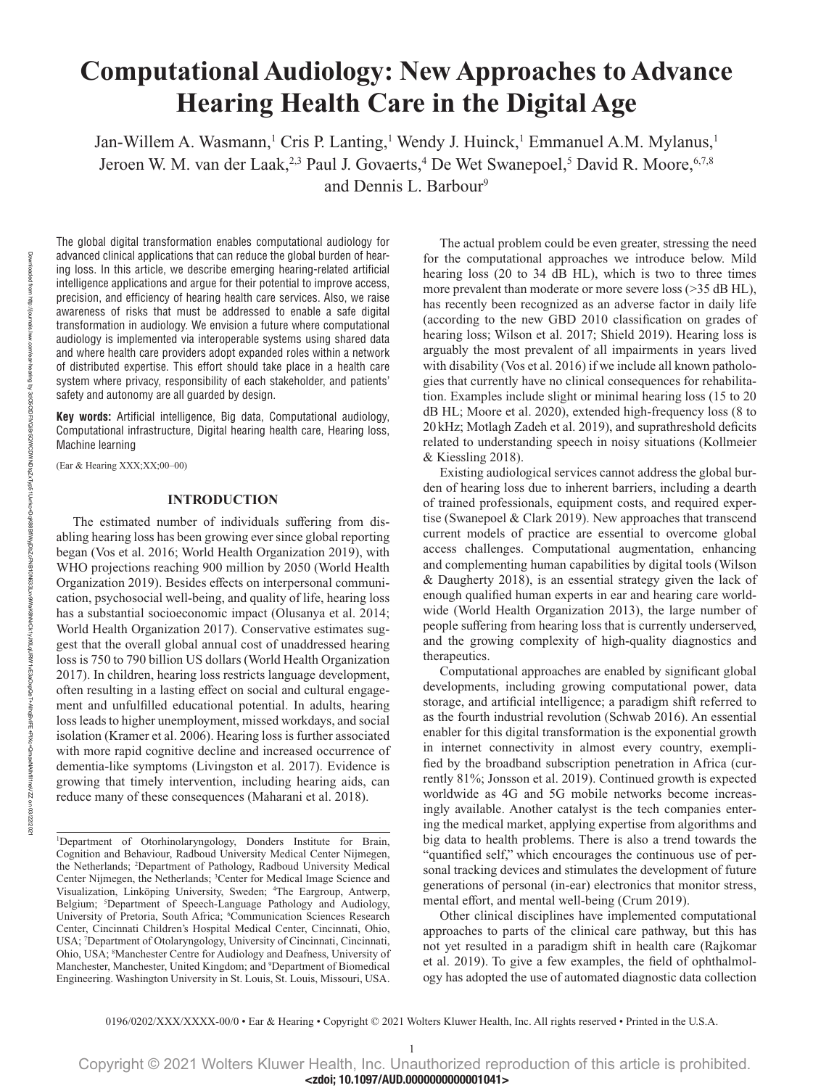# **Computational Audiology: New Approaches to Advance Hearing Health Care in the Digital Age**

Jan-Willem A. Wasmann,<sup>1</sup> Cris P. Lanting,<sup>1</sup> Wendy J. Huinck,<sup>1</sup> Emmanuel A.M. Mylanus,<sup>1</sup> Jeroen W. M. van der Laak,<sup>2,3</sup> Paul J. Govaerts,<sup>4</sup> De Wet Swanepoel,<sup>5</sup> David R. Moore,<sup>6,7,8</sup> and Dennis L. Barbour<sup>9</sup>

The global digital transformation enables computational audiology for advanced clinical applications that can reduce the global burden of hearing loss. In this article, we describe emerging hearing-related artificial intelligence applications and argue for their potential to improve access, precision, and efficiency of hearing health care services. Also, we raise awareness of risks that must be addressed to enable a safe digital transformation in audiology. We envision a future where computational audiology is implemented via interoperable systems using shared data and where health care providers adopt expanded roles within a network of distributed expertise. This effort should take place in a health care system where privacy, responsibility of each stakeholder, and patients' safety and autonomy are all guarded by design.

**Key words:** Artificial intelligence, Big data, Computational audiology, Computational infrastructure, Digital hearing health care, Hearing loss, Machine learning

(Ear & Hearing XXX;XX;00–00)

# **INTRODUCTION**

The estimated number of individuals suffering from disabling hearing loss has been growing ever since global reporting began (Vos et al. 2016; World Health Organization 2019), with WHO projections reaching 900 million by 2050 (World Health Organization 2019). Besides effects on interpersonal communication, psychosocial well-being, and quality of life, hearing loss has a substantial socioeconomic impact (Olusanya et al. 2014; World Health Organization 2017). Conservative estimates suggest that the overall global annual cost of unaddressed hearing loss is 750 to 790 billion US dollars (World Health Organization 2017). In children, hearing loss restricts language development, often resulting in a lasting effect on social and cultural engagement and unfulfilled educational potential. In adults, hearing loss leads to higher unemployment, missed workdays, and social isolation (Kramer et al. 2006). Hearing loss is further associated with more rapid cognitive decline and increased occurrence of dementia-like symptoms (Livingston et al. 2017). Evidence is growing that timely intervention, including hearing aids, can reduce many of these consequences (Maharani et al. 2018).

The actual problem could be even greater, stressing the need for the computational approaches we introduce below. Mild hearing loss (20 to 34 dB HL), which is two to three times more prevalent than moderate or more severe loss (>35 dB HL), has recently been recognized as an adverse factor in daily life (according to the new GBD 2010 classification on grades of hearing loss; Wilson et al. 2017; Shield 2019). Hearing loss is arguably the most prevalent of all impairments in years lived with disability (Vos et al. 2016) if we include all known pathologies that currently have no clinical consequences for rehabilitation. Examples include slight or minimal hearing loss (15 to 20 dB HL; Moore et al. 2020), extended high-frequency loss (8 to 20kHz; Motlagh Zadeh et al. 2019), and suprathreshold deficits related to understanding speech in noisy situations (Kollmeier & Kiessling 2018).

Existing audiological services cannot address the global burden of hearing loss due to inherent barriers, including a dearth of trained professionals, equipment costs, and required expertise (Swanepoel & Clark 2019). New approaches that transcend current models of practice are essential to overcome global access challenges. Computational augmentation, enhancing and complementing human capabilities by digital tools (Wilson & Daugherty 2018), is an essential strategy given the lack of enough qualified human experts in ear and hearing care worldwide (World Health Organization 2013), the large number of people suffering from hearing loss that is currently underserved, and the growing complexity of high-quality diagnostics and therapeutics.

Computational approaches are enabled by significant global developments, including growing computational power, data storage, and artificial intelligence; a paradigm shift referred to as the fourth industrial revolution (Schwab 2016). An essential enabler for this digital transformation is the exponential growth in internet connectivity in almost every country, exemplified by the broadband subscription penetration in Africa (currently 81%; Jonsson et al. 2019). Continued growth is expected worldwide as 4G and 5G mobile networks become increasingly available. Another catalyst is the tech companies entering the medical market, applying expertise from algorithms and big data to health problems. There is also a trend towards the "quantified self," which encourages the continuous use of personal tracking devices and stimulates the development of future generations of personal (in-ear) electronics that monitor stress, mental effort, and mental well-being (Crum 2019).

Other clinical disciplines have implemented computational approaches to parts of the clinical care pathway, but this has not yet resulted in a paradigm shift in health care (Rajkomar et al. 2019). To give a few examples, the field of ophthalmology has adopted the use of automated diagnostic data collection

<sup>1</sup> Department of Otorhinolaryngology, Donders Institute for Brain, Cognition and Behaviour, Radboud University Medical Center Nijmegen, the Netherlands; 2 Department of Pathology, Radboud University Medical Center Nijmegen, the Netherlands; 3 Center for Medical Image Science and Visualization, Linköping University, Sweden; 4 The Eargroup, Antwerp, Belgium; <sup>5</sup>Department of Speech-Language Pathology and Audiology, University of Pretoria, South Africa; <sup>6</sup>Communication Sciences Research Center, Cincinnati Children's Hospital Medical Center, Cincinnati, Ohio, USA; 7 Department of Otolaryngology, University of Cincinnati, Cincinnati, Ohio, USA; <sup>8</sup>Manchester Centre for Audiology and Deafness, University of Manchester, Manchester, United Kingdom; and 9 Department of Biomedical Engineering. Washington University in St. Louis, St. Louis, Missouri, USA.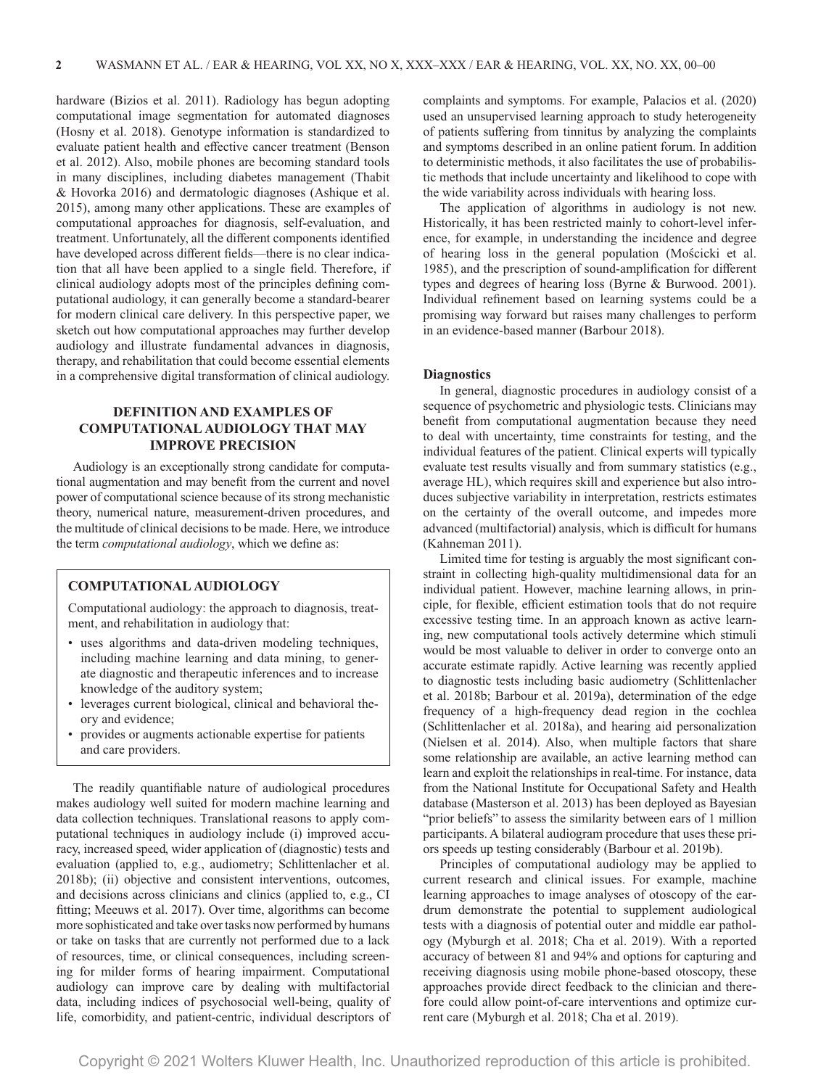hardware (Bizios et al. 2011). Radiology has begun adopting computational image segmentation for automated diagnoses (Hosny et al. 2018). Genotype information is standardized to evaluate patient health and effective cancer treatment (Benson et al. 2012). Also, mobile phones are becoming standard tools in many disciplines, including diabetes management (Thabit & Hovorka 2016) and dermatologic diagnoses (Ashique et al. 2015), among many other applications. These are examples of computational approaches for diagnosis, self-evaluation, and treatment. Unfortunately, all the different components identified have developed across different fields—there is no clear indication that all have been applied to a single field. Therefore, if clinical audiology adopts most of the principles defining computational audiology, it can generally become a standard-bearer for modern clinical care delivery. In this perspective paper, we sketch out how computational approaches may further develop audiology and illustrate fundamental advances in diagnosis, therapy, and rehabilitation that could become essential elements in a comprehensive digital transformation of clinical audiology.

# **DEFINITION AND EXAMPLES OF COMPUTATIONAL AUDIOLOGY THAT MAY IMPROVE PRECISION**

Audiology is an exceptionally strong candidate for computational augmentation and may benefit from the current and novel power of computational science because of its strong mechanistic theory, numerical nature, measurement-driven procedures, and the multitude of clinical decisions to be made. Here, we introduce the term *computational audiology*, which we define as:

# **COMPUTATIONAL AUDIOLOGY**

Computational audiology: the approach to diagnosis, treatment, and rehabilitation in audiology that:

- uses algorithms and data-driven modeling techniques, including machine learning and data mining, to generate diagnostic and therapeutic inferences and to increase knowledge of the auditory system;
- leverages current biological, clinical and behavioral theory and evidence;
- provides or augments actionable expertise for patients and care providers.

The readily quantifiable nature of audiological procedures makes audiology well suited for modern machine learning and data collection techniques. Translational reasons to apply computational techniques in audiology include (i) improved accuracy, increased speed, wider application of (diagnostic) tests and evaluation (applied to, e.g., audiometry; Schlittenlacher et al. 2018b); (ii) objective and consistent interventions, outcomes, and decisions across clinicians and clinics (applied to, e.g., CI fitting; Meeuws et al. 2017). Over time, algorithms can become more sophisticated and take over tasks now performed by humans or take on tasks that are currently not performed due to a lack of resources, time, or clinical consequences, including screening for milder forms of hearing impairment. Computational audiology can improve care by dealing with multifactorial data, including indices of psychosocial well-being, quality of life, comorbidity, and patient-centric, individual descriptors of complaints and symptoms. For example, Palacios et al. (2020) used an unsupervised learning approach to study heterogeneity of patients suffering from tinnitus by analyzing the complaints and symptoms described in an online patient forum. In addition to deterministic methods, it also facilitates the use of probabilistic methods that include uncertainty and likelihood to cope with the wide variability across individuals with hearing loss.

The application of algorithms in audiology is not new. Historically, it has been restricted mainly to cohort-level inference, for example, in understanding the incidence and degree of hearing loss in the general population (Mościcki et al. 1985), and the prescription of sound-amplification for different types and degrees of hearing loss (Byrne & Burwood. 2001). Individual refinement based on learning systems could be a promising way forward but raises many challenges to perform in an evidence-based manner (Barbour 2018).

#### **Diagnostics**

In general, diagnostic procedures in audiology consist of a sequence of psychometric and physiologic tests. Clinicians may benefit from computational augmentation because they need to deal with uncertainty, time constraints for testing, and the individual features of the patient. Clinical experts will typically evaluate test results visually and from summary statistics (e.g., average HL), which requires skill and experience but also introduces subjective variability in interpretation, restricts estimates on the certainty of the overall outcome, and impedes more advanced (multifactorial) analysis, which is difficult for humans (Kahneman 2011).

Limited time for testing is arguably the most significant constraint in collecting high-quality multidimensional data for an individual patient. However, machine learning allows, in principle, for flexible, efficient estimation tools that do not require excessive testing time. In an approach known as active learning, new computational tools actively determine which stimuli would be most valuable to deliver in order to converge onto an accurate estimate rapidly. Active learning was recently applied to diagnostic tests including basic audiometry (Schlittenlacher et al. 2018b; Barbour et al. 2019a), determination of the edge frequency of a high-frequency dead region in the cochlea (Schlittenlacher et al. 2018a), and hearing aid personalization (Nielsen et al. 2014). Also, when multiple factors that share some relationship are available, an active learning method can learn and exploit the relationships in real-time. For instance, data from the National Institute for Occupational Safety and Health database (Masterson et al. 2013) has been deployed as Bayesian "prior beliefs" to assess the similarity between ears of 1 million participants. A bilateral audiogram procedure that uses these priors speeds up testing considerably (Barbour et al. 2019b).

Principles of computational audiology may be applied to current research and clinical issues. For example, machine learning approaches to image analyses of otoscopy of the eardrum demonstrate the potential to supplement audiological tests with a diagnosis of potential outer and middle ear pathology (Myburgh et al. 2018; Cha et al. 2019). With a reported accuracy of between 81 and 94% and options for capturing and receiving diagnosis using mobile phone-based otoscopy, these approaches provide direct feedback to the clinician and therefore could allow point-of-care interventions and optimize current care (Myburgh et al. 2018; Cha et al. 2019).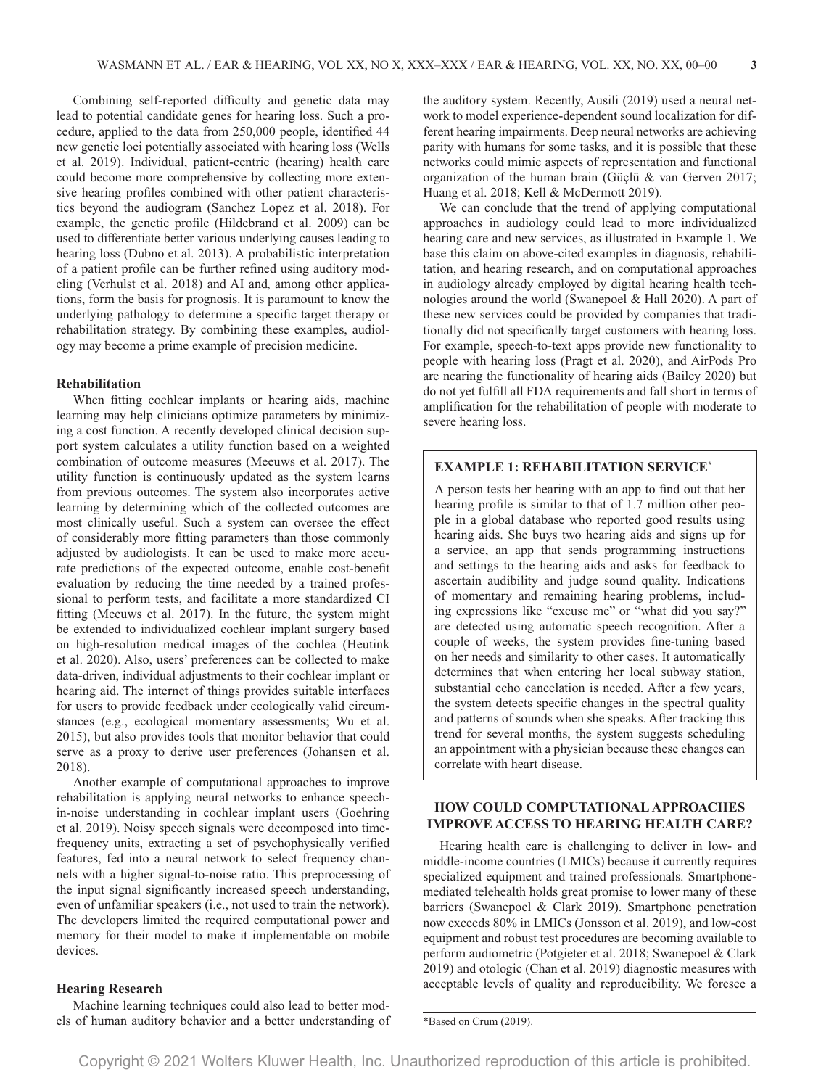Combining self-reported difficulty and genetic data may lead to potential candidate genes for hearing loss. Such a procedure, applied to the data from 250,000 people, identified 44 new genetic loci potentially associated with hearing loss (Wells et al. 2019). Individual, patient-centric (hearing) health care could become more comprehensive by collecting more extensive hearing profiles combined with other patient characteristics beyond the audiogram (Sanchez Lopez et al. 2018). For example, the genetic profile (Hildebrand et al. 2009) can be used to differentiate better various underlying causes leading to hearing loss (Dubno et al. 2013). A probabilistic interpretation of a patient profile can be further refined using auditory modeling (Verhulst et al. 2018) and AI and, among other applications, form the basis for prognosis. It is paramount to know the underlying pathology to determine a specific target therapy or rehabilitation strategy. By combining these examples, audiology may become a prime example of precision medicine.

# **Rehabilitation**

When fitting cochlear implants or hearing aids, machine learning may help clinicians optimize parameters by minimizing a cost function. A recently developed clinical decision support system calculates a utility function based on a weighted combination of outcome measures (Meeuws et al. 2017). The utility function is continuously updated as the system learns from previous outcomes. The system also incorporates active learning by determining which of the collected outcomes are most clinically useful. Such a system can oversee the effect of considerably more fitting parameters than those commonly adjusted by audiologists. It can be used to make more accurate predictions of the expected outcome, enable cost-benefit evaluation by reducing the time needed by a trained professional to perform tests, and facilitate a more standardized CI fitting (Meeuws et al. 2017). In the future, the system might be extended to individualized cochlear implant surgery based on high-resolution medical images of the cochlea (Heutink et al. 2020). Also, users' preferences can be collected to make data-driven, individual adjustments to their cochlear implant or hearing aid. The internet of things provides suitable interfaces for users to provide feedback under ecologically valid circumstances (e.g., ecological momentary assessments; Wu et al. 2015), but also provides tools that monitor behavior that could serve as a proxy to derive user preferences (Johansen et al. 2018).

Another example of computational approaches to improve rehabilitation is applying neural networks to enhance speechin-noise understanding in cochlear implant users (Goehring et al. 2019). Noisy speech signals were decomposed into timefrequency units, extracting a set of psychophysically verified features, fed into a neural network to select frequency channels with a higher signal-to-noise ratio. This preprocessing of the input signal significantly increased speech understanding, even of unfamiliar speakers (i.e., not used to train the network). The developers limited the required computational power and memory for their model to make it implementable on mobile devices.

#### **Hearing Research**

Machine learning techniques could also lead to better models of human auditory behavior and a better understanding of the auditory system. Recently, Ausili (2019) used a neural network to model experience-dependent sound localization for different hearing impairments. Deep neural networks are achieving parity with humans for some tasks, and it is possible that these networks could mimic aspects of representation and functional organization of the human brain (Güçlü & van Gerven 2017; Huang et al. 2018; Kell & McDermott 2019).

We can conclude that the trend of applying computational approaches in audiology could lead to more individualized hearing care and new services, as illustrated in Example 1. We base this claim on above-cited examples in diagnosis, rehabilitation, and hearing research, and on computational approaches in audiology already employed by digital hearing health technologies around the world (Swanepoel & Hall 2020). A part of these new services could be provided by companies that traditionally did not specifically target customers with hearing loss. For example, speech-to-text apps provide new functionality to people with hearing loss (Pragt et al. 2020), and AirPods Pro are nearing the functionality of hearing aids (Bailey 2020) but do not yet fulfill all FDA requirements and fall short in terms of amplification for the rehabilitation of people with moderate to severe hearing loss.

## **EXAMPLE 1: REHABILITATION SERVICE\***

A person tests her hearing with an app to find out that her hearing profile is similar to that of 1.7 million other people in a global database who reported good results using hearing aids. She buys two hearing aids and signs up for a service, an app that sends programming instructions and settings to the hearing aids and asks for feedback to ascertain audibility and judge sound quality. Indications of momentary and remaining hearing problems, including expressions like "excuse me" or "what did you say?" are detected using automatic speech recognition. After a couple of weeks, the system provides fine-tuning based on her needs and similarity to other cases. It automatically determines that when entering her local subway station, substantial echo cancelation is needed. After a few years, the system detects specific changes in the spectral quality and patterns of sounds when she speaks. After tracking this trend for several months, the system suggests scheduling an appointment with a physician because these changes can correlate with heart disease.

# **HOW COULD COMPUTATIONAL APPROACHES IMPROVE ACCESS TO HEARING HEALTH CARE?**

Hearing health care is challenging to deliver in low- and middle-income countries (LMICs) because it currently requires specialized equipment and trained professionals. Smartphonemediated telehealth holds great promise to lower many of these barriers (Swanepoel & Clark 2019). Smartphone penetration now exceeds 80% in LMICs (Jonsson et al. 2019), and low-cost equipment and robust test procedures are becoming available to perform audiometric (Potgieter et al. 2018; Swanepoel & Clark 2019) and otologic (Chan et al. 2019) diagnostic measures with acceptable levels of quality and reproducibility. We foresee a

\*Based on Crum (2019).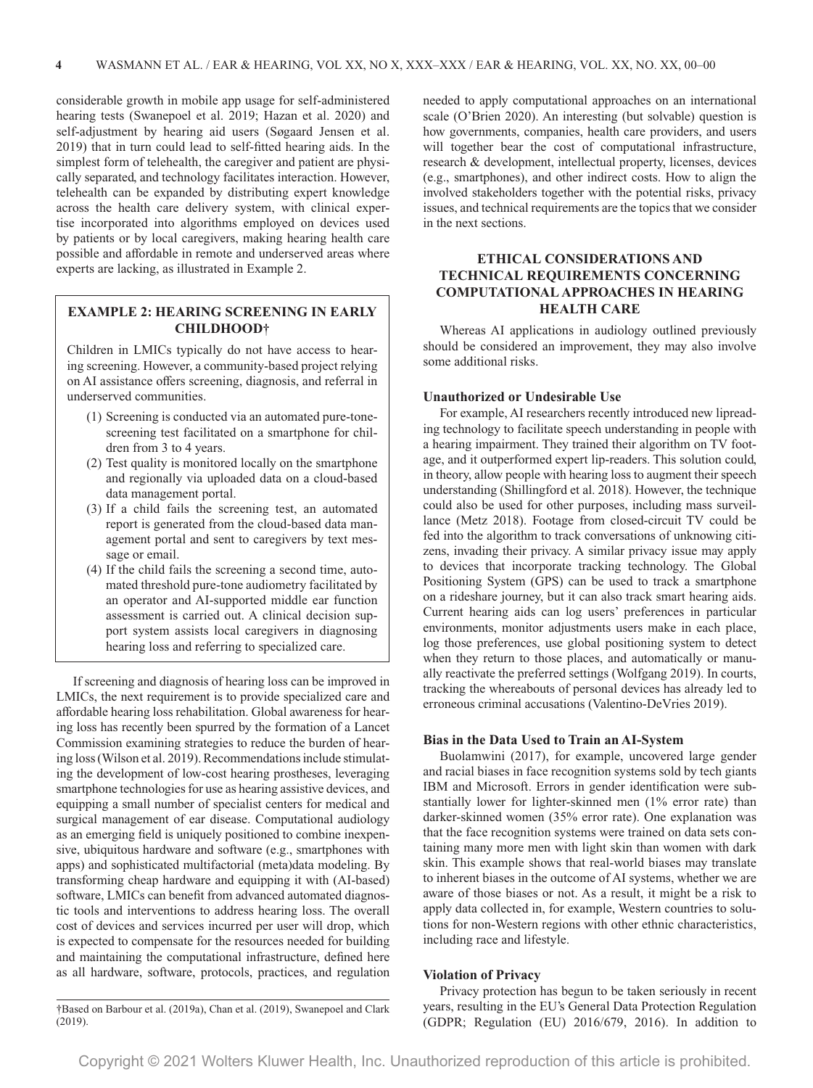considerable growth in mobile app usage for self-administered hearing tests (Swanepoel et al. 2019; Hazan et al. 2020) and self-adjustment by hearing aid users (Søgaard Jensen et al. 2019) that in turn could lead to self-fitted hearing aids. In the simplest form of telehealth, the caregiver and patient are physically separated, and technology facilitates interaction. However, telehealth can be expanded by distributing expert knowledge across the health care delivery system, with clinical expertise incorporated into algorithms employed on devices used by patients or by local caregivers, making hearing health care possible and affordable in remote and underserved areas where experts are lacking, as illustrated in Example 2.

# **EXAMPLE 2: HEARING SCREENING IN EARLY CHILDHOOD†**

Children in LMICs typically do not have access to hearing screening. However, a community-based project relying on AI assistance offers screening, diagnosis, and referral in underserved communities.

- (1) Screening is conducted via an automated pure-tonescreening test facilitated on a smartphone for children from 3 to 4 years.
- (2) Test quality is monitored locally on the smartphone and regionally via uploaded data on a cloud-based data management portal.
- (3) If a child fails the screening test, an automated report is generated from the cloud-based data management portal and sent to caregivers by text message or email.
- (4) If the child fails the screening a second time, automated threshold pure-tone audiometry facilitated by an operator and AI-supported middle ear function assessment is carried out. A clinical decision support system assists local caregivers in diagnosing hearing loss and referring to specialized care.

If screening and diagnosis of hearing loss can be improved in LMICs, the next requirement is to provide specialized care and affordable hearing loss rehabilitation. Global awareness for hearing loss has recently been spurred by the formation of a Lancet Commission examining strategies to reduce the burden of hearing loss (Wilson et al. 2019). Recommendations include stimulating the development of low-cost hearing prostheses, leveraging smartphone technologies for use as hearing assistive devices, and equipping a small number of specialist centers for medical and surgical management of ear disease. Computational audiology as an emerging field is uniquely positioned to combine inexpensive, ubiquitous hardware and software (e.g., smartphones with apps) and sophisticated multifactorial (meta)data modeling. By transforming cheap hardware and equipping it with (AI-based) software, LMICs can benefit from advanced automated diagnostic tools and interventions to address hearing loss. The overall cost of devices and services incurred per user will drop, which is expected to compensate for the resources needed for building and maintaining the computational infrastructure, defined here as all hardware, software, protocols, practices, and regulation

†Based on Barbour et al. (2019a), Chan et al. (2019), Swanepoel and Clark (2019).

needed to apply computational approaches on an international scale (O'Brien 2020). An interesting (but solvable) question is how governments, companies, health care providers, and users will together bear the cost of computational infrastructure, research & development, intellectual property, licenses, devices (e.g., smartphones), and other indirect costs. How to align the involved stakeholders together with the potential risks, privacy issues, and technical requirements are the topics that we consider in the next sections.

# **ETHICAL CONSIDERATIONS AND TECHNICAL REQUIREMENTS CONCERNING COMPUTATIONAL APPROACHES IN HEARING HEALTH CARE**

Whereas AI applications in audiology outlined previously should be considered an improvement, they may also involve some additional risks.

## **Unauthorized or Undesirable Use**

For example, AI researchers recently introduced new lipreading technology to facilitate speech understanding in people with a hearing impairment. They trained their algorithm on TV footage, and it outperformed expert lip-readers. This solution could, in theory, allow people with hearing loss to augment their speech understanding (Shillingford et al. 2018). However, the technique could also be used for other purposes, including mass surveillance (Metz 2018). Footage from closed-circuit TV could be fed into the algorithm to track conversations of unknowing citizens, invading their privacy. A similar privacy issue may apply to devices that incorporate tracking technology. The Global Positioning System (GPS) can be used to track a smartphone on a rideshare journey, but it can also track smart hearing aids. Current hearing aids can log users' preferences in particular environments, monitor adjustments users make in each place, log those preferences, use global positioning system to detect when they return to those places, and automatically or manually reactivate the preferred settings (Wolfgang 2019). In courts, tracking the whereabouts of personal devices has already led to erroneous criminal accusations (Valentino-DeVries 2019).

## **Bias in the Data Used to Train an AI-System**

Buolamwini (2017), for example, uncovered large gender and racial biases in face recognition systems sold by tech giants IBM and Microsoft. Errors in gender identification were substantially lower for lighter-skinned men (1% error rate) than darker-skinned women (35% error rate). One explanation was that the face recognition systems were trained on data sets containing many more men with light skin than women with dark skin. This example shows that real-world biases may translate to inherent biases in the outcome of AI systems, whether we are aware of those biases or not. As a result, it might be a risk to apply data collected in, for example, Western countries to solutions for non-Western regions with other ethnic characteristics, including race and lifestyle.

#### **Violation of Privacy**

Privacy protection has begun to be taken seriously in recent years, resulting in the EU's General Data Protection Regulation (GDPR; Regulation (EU) 2016/679, 2016). In addition to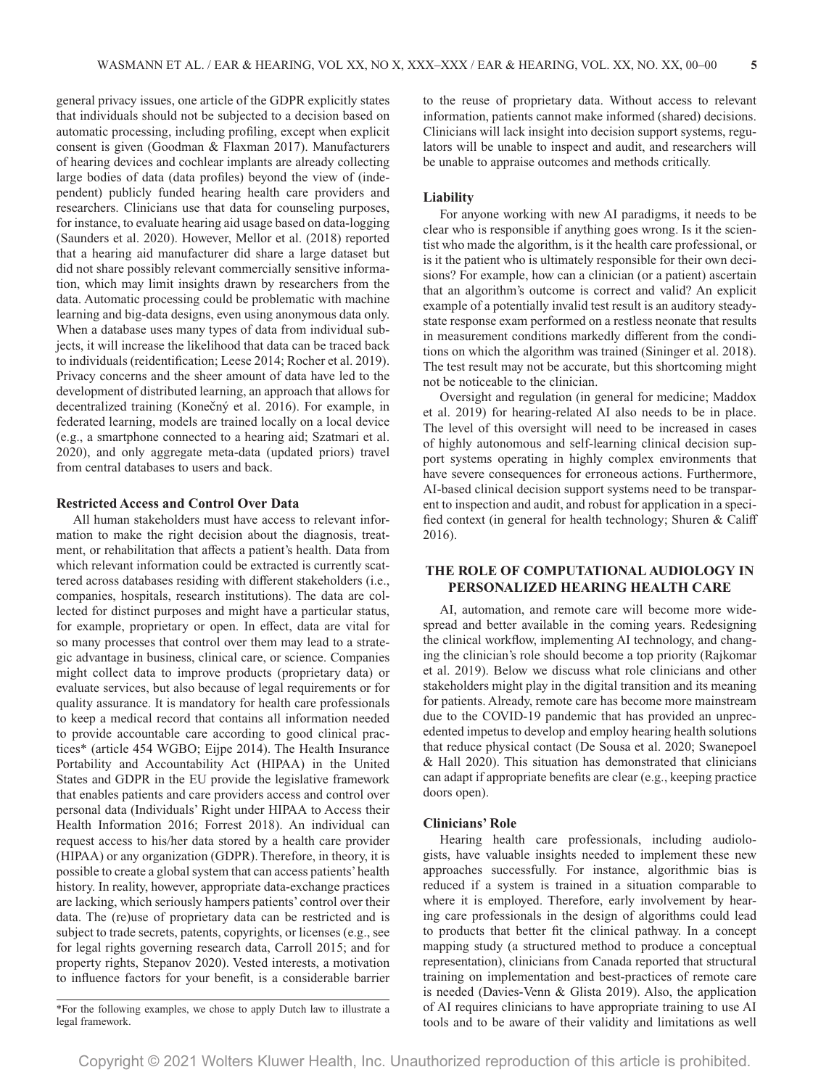general privacy issues, one article of the GDPR explicitly states that individuals should not be subjected to a decision based on automatic processing, including profiling, except when explicit consent is given (Goodman & Flaxman 2017). Manufacturers of hearing devices and cochlear implants are already collecting large bodies of data (data profiles) beyond the view of (independent) publicly funded hearing health care providers and researchers. Clinicians use that data for counseling purposes, for instance, to evaluate hearing aid usage based on data-logging (Saunders et al. 2020). However, Mellor et al. (2018) reported that a hearing aid manufacturer did share a large dataset but did not share possibly relevant commercially sensitive information, which may limit insights drawn by researchers from the data. Automatic processing could be problematic with machine learning and big-data designs, even using anonymous data only. When a database uses many types of data from individual subjects, it will increase the likelihood that data can be traced back to individuals (reidentification; Leese 2014; Rocher et al. 2019). Privacy concerns and the sheer amount of data have led to the development of distributed learning, an approach that allows for decentralized training (Konečný et al. 2016). For example, in federated learning, models are trained locally on a local device (e.g., a smartphone connected to a hearing aid; Szatmari et al. 2020), and only aggregate meta-data (updated priors) travel from central databases to users and back.

#### **Restricted Access and Control Over Data**

All human stakeholders must have access to relevant information to make the right decision about the diagnosis, treatment, or rehabilitation that affects a patient's health. Data from which relevant information could be extracted is currently scattered across databases residing with different stakeholders (i.e., companies, hospitals, research institutions). The data are collected for distinct purposes and might have a particular status, for example, proprietary or open. In effect, data are vital for so many processes that control over them may lead to a strategic advantage in business, clinical care, or science. Companies might collect data to improve products (proprietary data) or evaluate services, but also because of legal requirements or for quality assurance. It is mandatory for health care professionals to keep a medical record that contains all information needed to provide accountable care according to good clinical practices\* (article 454 WGBO; Eijpe 2014). The Health Insurance Portability and Accountability Act (HIPAA) in the United States and GDPR in the EU provide the legislative framework that enables patients and care providers access and control over personal data (Individuals' Right under HIPAA to Access their Health Information 2016; Forrest 2018). An individual can request access to his/her data stored by a health care provider (HIPAA) or any organization (GDPR). Therefore, in theory, it is possible to create a global system that can access patients' health history. In reality, however, appropriate data-exchange practices are lacking, which seriously hampers patients' control over their data. The (re)use of proprietary data can be restricted and is subject to trade secrets, patents, copyrights, or licenses (e.g., see for legal rights governing research data, Carroll 2015; and for property rights, Stepanov 2020). Vested interests, a motivation to influence factors for your benefit, is a considerable barrier to the reuse of proprietary data. Without access to relevant information, patients cannot make informed (shared) decisions. Clinicians will lack insight into decision support systems, regulators will be unable to inspect and audit, and researchers will be unable to appraise outcomes and methods critically.

## **Liability**

For anyone working with new AI paradigms, it needs to be clear who is responsible if anything goes wrong. Is it the scientist who made the algorithm, is it the health care professional, or is it the patient who is ultimately responsible for their own decisions? For example, how can a clinician (or a patient) ascertain that an algorithm's outcome is correct and valid? An explicit example of a potentially invalid test result is an auditory steadystate response exam performed on a restless neonate that results in measurement conditions markedly different from the conditions on which the algorithm was trained (Sininger et al. 2018). The test result may not be accurate, but this shortcoming might not be noticeable to the clinician.

Oversight and regulation (in general for medicine; Maddox et al. 2019) for hearing-related AI also needs to be in place. The level of this oversight will need to be increased in cases of highly autonomous and self-learning clinical decision support systems operating in highly complex environments that have severe consequences for erroneous actions. Furthermore, AI-based clinical decision support systems need to be transparent to inspection and audit, and robust for application in a specified context (in general for health technology; Shuren & Califf 2016).

# **THE ROLE OF COMPUTATIONAL AUDIOLOGY IN PERSONALIZED HEARING HEALTH CARE**

AI, automation, and remote care will become more widespread and better available in the coming years. Redesigning the clinical workflow, implementing AI technology, and changing the clinician's role should become a top priority (Rajkomar et al. 2019). Below we discuss what role clinicians and other stakeholders might play in the digital transition and its meaning for patients. Already, remote care has become more mainstream due to the COVID-19 pandemic that has provided an unprecedented impetus to develop and employ hearing health solutions that reduce physical contact (De Sousa et al. 2020; Swanepoel & Hall 2020). This situation has demonstrated that clinicians can adapt if appropriate benefits are clear (e.g., keeping practice doors open).

#### **Clinicians' Role**

Hearing health care professionals, including audiologists, have valuable insights needed to implement these new approaches successfully. For instance, algorithmic bias is reduced if a system is trained in a situation comparable to where it is employed. Therefore, early involvement by hearing care professionals in the design of algorithms could lead to products that better fit the clinical pathway. In a concept mapping study (a structured method to produce a conceptual representation), clinicians from Canada reported that structural training on implementation and best-practices of remote care is needed (Davies-Venn & Glista 2019). Also, the application of AI requires clinicians to have appropriate training to use AI tools and to be aware of their validity and limitations as well

<sup>\*</sup>For the following examples, we chose to apply Dutch law to illustrate a legal framework.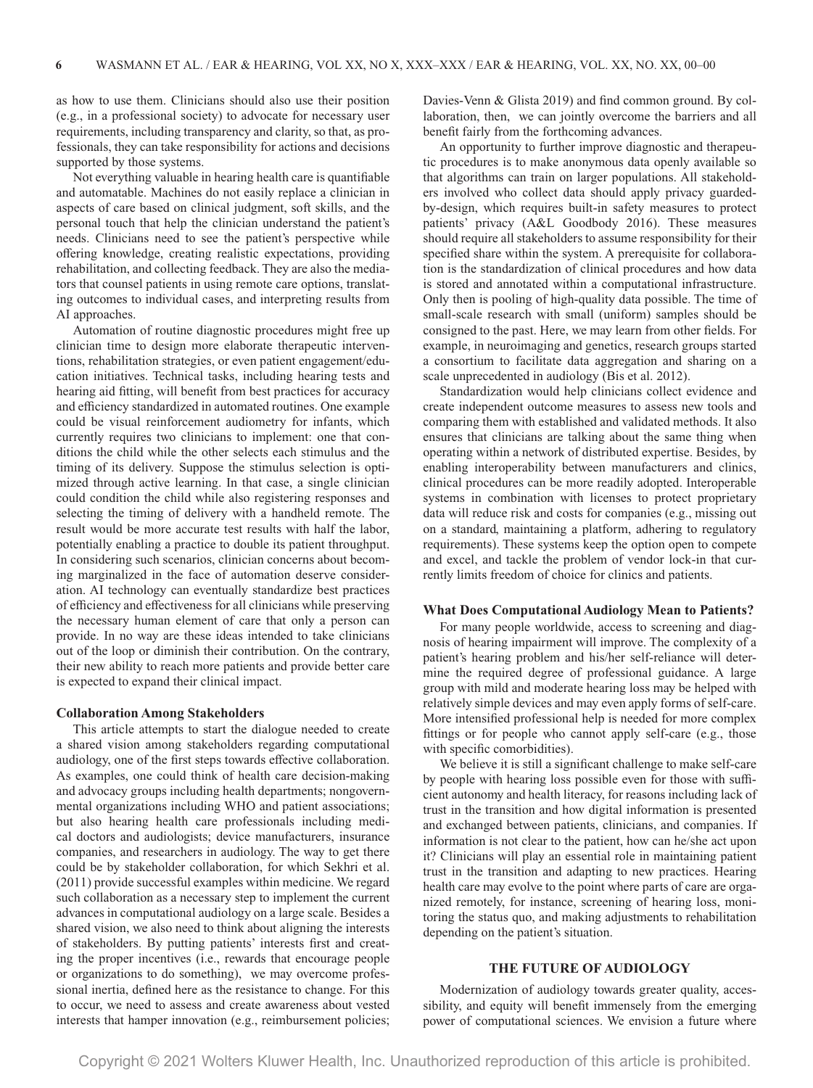as how to use them. Clinicians should also use their position (e.g., in a professional society) to advocate for necessary user requirements, including transparency and clarity, so that, as professionals, they can take responsibility for actions and decisions supported by those systems.

Not everything valuable in hearing health care is quantifiable and automatable. Machines do not easily replace a clinician in aspects of care based on clinical judgment, soft skills, and the personal touch that help the clinician understand the patient's needs. Clinicians need to see the patient's perspective while offering knowledge, creating realistic expectations, providing rehabilitation, and collecting feedback. They are also the mediators that counsel patients in using remote care options, translating outcomes to individual cases, and interpreting results from AI approaches.

Automation of routine diagnostic procedures might free up clinician time to design more elaborate therapeutic interventions, rehabilitation strategies, or even patient engagement/education initiatives. Technical tasks, including hearing tests and hearing aid fitting, will benefit from best practices for accuracy and efficiency standardized in automated routines. One example could be visual reinforcement audiometry for infants, which currently requires two clinicians to implement: one that conditions the child while the other selects each stimulus and the timing of its delivery. Suppose the stimulus selection is optimized through active learning. In that case, a single clinician could condition the child while also registering responses and selecting the timing of delivery with a handheld remote. The result would be more accurate test results with half the labor, potentially enabling a practice to double its patient throughput. In considering such scenarios, clinician concerns about becoming marginalized in the face of automation deserve consideration. AI technology can eventually standardize best practices of efficiency and effectiveness for all clinicians while preserving the necessary human element of care that only a person can provide. In no way are these ideas intended to take clinicians out of the loop or diminish their contribution. On the contrary, their new ability to reach more patients and provide better care is expected to expand their clinical impact.

#### **Collaboration Among Stakeholders**

This article attempts to start the dialogue needed to create a shared vision among stakeholders regarding computational audiology, one of the first steps towards effective collaboration. As examples, one could think of health care decision-making and advocacy groups including health departments; nongovernmental organizations including WHO and patient associations; but also hearing health care professionals including medical doctors and audiologists; device manufacturers, insurance companies, and researchers in audiology. The way to get there could be by stakeholder collaboration, for which Sekhri et al. (2011) provide successful examples within medicine. We regard such collaboration as a necessary step to implement the current advances in computational audiology on a large scale. Besides a shared vision, we also need to think about aligning the interests of stakeholders. By putting patients' interests first and creating the proper incentives (i.e., rewards that encourage people or organizations to do something), we may overcome professional inertia, defined here as the resistance to change. For this to occur, we need to assess and create awareness about vested interests that hamper innovation (e.g., reimbursement policies; Davies-Venn & Glista 2019) and find common ground. By collaboration, then, we can jointly overcome the barriers and all benefit fairly from the forthcoming advances.

An opportunity to further improve diagnostic and therapeutic procedures is to make anonymous data openly available so that algorithms can train on larger populations. All stakeholders involved who collect data should apply privacy guardedby-design, which requires built-in safety measures to protect patients' privacy (A&L Goodbody 2016). These measures should require all stakeholders to assume responsibility for their specified share within the system. A prerequisite for collaboration is the standardization of clinical procedures and how data is stored and annotated within a computational infrastructure. Only then is pooling of high-quality data possible. The time of small-scale research with small (uniform) samples should be consigned to the past. Here, we may learn from other fields. For example, in neuroimaging and genetics, research groups started a consortium to facilitate data aggregation and sharing on a scale unprecedented in audiology (Bis et al. 2012).

Standardization would help clinicians collect evidence and create independent outcome measures to assess new tools and comparing them with established and validated methods. It also ensures that clinicians are talking about the same thing when operating within a network of distributed expertise. Besides, by enabling interoperability between manufacturers and clinics, clinical procedures can be more readily adopted. Interoperable systems in combination with licenses to protect proprietary data will reduce risk and costs for companies (e.g., missing out on a standard, maintaining a platform, adhering to regulatory requirements). These systems keep the option open to compete and excel, and tackle the problem of vendor lock-in that currently limits freedom of choice for clinics and patients.

#### **What Does Computational Audiology Mean to Patients?**

For many people worldwide, access to screening and diagnosis of hearing impairment will improve. The complexity of a patient's hearing problem and his/her self-reliance will determine the required degree of professional guidance. A large group with mild and moderate hearing loss may be helped with relatively simple devices and may even apply forms of self-care. More intensified professional help is needed for more complex fittings or for people who cannot apply self-care (e.g., those with specific comorbidities).

We believe it is still a significant challenge to make self-care by people with hearing loss possible even for those with sufficient autonomy and health literacy, for reasons including lack of trust in the transition and how digital information is presented and exchanged between patients, clinicians, and companies. If information is not clear to the patient, how can he/she act upon it? Clinicians will play an essential role in maintaining patient trust in the transition and adapting to new practices. Hearing health care may evolve to the point where parts of care are organized remotely, for instance, screening of hearing loss, monitoring the status quo, and making adjustments to rehabilitation depending on the patient's situation.

## **THE FUTURE OF AUDIOLOGY**

Modernization of audiology towards greater quality, accessibility, and equity will benefit immensely from the emerging power of computational sciences. We envision a future where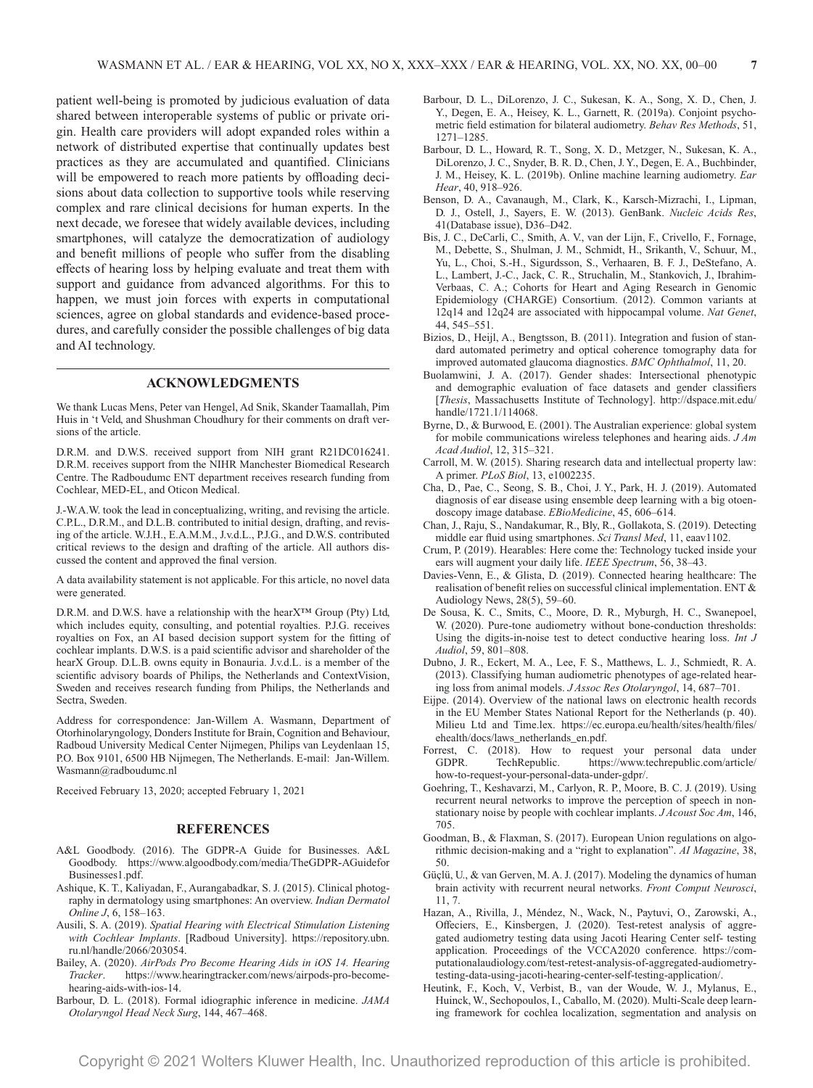patient well-being is promoted by judicious evaluation of data shared between interoperable systems of public or private origin. Health care providers will adopt expanded roles within a network of distributed expertise that continually updates best practices as they are accumulated and quantified. Clinicians will be empowered to reach more patients by offloading decisions about data collection to supportive tools while reserving complex and rare clinical decisions for human experts. In the next decade, we foresee that widely available devices, including smartphones, will catalyze the democratization of audiology and benefit millions of people who suffer from the disabling effects of hearing loss by helping evaluate and treat them with support and guidance from advanced algorithms. For this to happen, we must join forces with experts in computational sciences, agree on global standards and evidence-based procedures, and carefully consider the possible challenges of big data and AI technology.

### **ACKNOWLEDGMENTS**

We thank Lucas Mens, Peter van Hengel, Ad Snik, Skander Taamallah, Pim Huis in 't Veld, and Shushman Choudhury for their comments on draft versions of the article.

D.R.M. and D.W.S. received support from NIH grant R21DC016241. D.R.M. receives support from the NIHR Manchester Biomedical Research Centre. The Radboudumc ENT department receives research funding from Cochlear, MED-EL, and Oticon Medical.

J.-W.A.W. took the lead in conceptualizing, writing, and revising the article. C.P.L., D.R.M., and D.L.B. contributed to initial design, drafting, and revising of the article. W.J.H., E.A.M.M., J.v.d.L., P.J.G., and D.W.S. contributed critical reviews to the design and drafting of the article. All authors discussed the content and approved the final version.

A data availability statement is not applicable. For this article, no novel data were generated.

D.R.M. and D.W.S. have a relationship with the hearX™ Group (Pty) Ltd, which includes equity, consulting, and potential royalties. P.J.G. receives royalties on Fox, an AI based decision support system for the fitting of cochlear implants. D.W.S. is a paid scientific advisor and shareholder of the hearX Group. D.L.B. owns equity in Bonauria. J.v.d.L. is a member of the scientific advisory boards of Philips, the Netherlands and ContextVision, Sweden and receives research funding from Philips, the Netherlands and Sectra, Sweden.

Address for correspondence: Jan-Willem A. Wasmann, Department of Otorhinolaryngology, Donders Institute for Brain, Cognition and Behaviour, Radboud University Medical Center Nijmegen, Philips van Leydenlaan 15, P.O. Box 9101, 6500 HB Nijmegen, The Netherlands. E-mail: [Jan-Willem.](mailto:Jan-Willem.Wasmann@radboudumc.nl) [Wasmann@radboudumc.nl](mailto:Jan-Willem.Wasmann@radboudumc.nl)

Received February 13, 2020; accepted February 1, 2021

#### **REFERENCES**

- A&L Goodbody. (2016). The GDPR-A Guide for Businesses. A&L Goodbody. [https://www.algoodbody.com/media/TheGDPR-AGuidefor](https://www.algoodbody.com/media/TheGDPR-AGuideforBusinesses1.pdf) [Businesses1.pdf](https://www.algoodbody.com/media/TheGDPR-AGuideforBusinesses1.pdf).
- Ashique, K. T., Kaliyadan, F., Aurangabadkar, S. J. (2015). Clinical photography in dermatology using smartphones: An overview. *Indian Dermatol Online J*, 6, 158–163.
- Ausili, S. A. (2019). *Spatial Hearing with Electrical Stimulation Listening with Cochlear Implants*. [Radboud University]. [https://repository.ubn.](https://repository.ubn.ru.nl/handle/2066/203054) [ru.nl/handle/2066/203054.](https://repository.ubn.ru.nl/handle/2066/203054)
- Bailey, A. (2020). *AirPods Pro Become Hearing Aids in iOS 14. Hearing Tracker*. [https://www.hearingtracker.com/news/airpods-pro-become](https://www.hearingtracker.com/news/airpods-pro-become-hearing-aids-with-ios-14)[hearing-aids-with-ios-14.](https://www.hearingtracker.com/news/airpods-pro-become-hearing-aids-with-ios-14)
- Barbour, D. L. (2018). Formal idiographic inference in medicine. *JAMA Otolaryngol Head Neck Surg*, 144, 467–468.
- Barbour, D. L., DiLorenzo, J. C., Sukesan, K. A., Song, X. D., Chen, J. Y., Degen, E. A., Heisey, K. L., Garnett, R. (2019a). Conjoint psychometric field estimation for bilateral audiometry. *Behav Res Methods*, 51, 1271–1285.
- Barbour, D. L., Howard, R. T., Song, X. D., Metzger, N., Sukesan, K. A., DiLorenzo, J. C., Snyder, B. R. D., Chen, J. Y., Degen, E. A., Buchbinder, J. M., Heisey, K. L. (2019b). Online machine learning audiometry. *Ear Hear*, 40, 918–926.
- Benson, D. A., Cavanaugh, M., Clark, K., Karsch-Mizrachi, I., Lipman, D. J., Ostell, J., Sayers, E. W. (2013). GenBank. *Nucleic Acids Res*, 41(Database issue), D36–D42.
- Bis, J. C., DeCarli, C., Smith, A. V., van der Lijn, F., Crivello, F., Fornage, M., Debette, S., Shulman, J. M., Schmidt, H., Srikanth, V., Schuur, M., Yu, L., Choi, S.-H., Sigurdsson, S., Verhaaren, B. F. J., DeStefano, A. L., Lambert, J.-C., Jack, C. R., Struchalin, M., Stankovich, J., Ibrahim-Verbaas, C. A.; Cohorts for Heart and Aging Research in Genomic Epidemiology (CHARGE) Consortium. (2012). Common variants at 12q14 and 12q24 are associated with hippocampal volume. *Nat Genet*, 44, 545–551.
- Bizios, D., Heijl, A., Bengtsson, B. (2011). Integration and fusion of standard automated perimetry and optical coherence tomography data for improved automated glaucoma diagnostics. *BMC Ophthalmol*, 11, 20.
- Buolamwini, J. A. (2017). Gender shades: Intersectional phenotypic and demographic evaluation of face datasets and gender classifiers [*Thesis*, Massachusetts Institute of Technology]. [http://dspace.mit.edu/](http://dspace.mit.edu/handle/1721.1/114068) [handle/1721.1/114068.](http://dspace.mit.edu/handle/1721.1/114068)
- Byrne, D., & Burwood, E. (2001). The Australian experience: global system for mobile communications wireless telephones and hearing aids. *J Am Acad Audiol*, 12, 315–321.
- Carroll, M. W. (2015). Sharing research data and intellectual property law: A primer. *PLoS Biol*, 13, e1002235.
- Cha, D., Pae, C., Seong, S. B., Choi, J. Y., Park, H. J. (2019). Automated diagnosis of ear disease using ensemble deep learning with a big otoendoscopy image database. *EBioMedicine*, 45, 606–614.
- Chan, J., Raju, S., Nandakumar, R., Bly, R., Gollakota, S. (2019). Detecting middle ear fluid using smartphones. *Sci Transl Med*, 11, eaav1102.
- Crum, P. (2019). Hearables: Here come the: Technology tucked inside your ears will augment your daily life. *IEEE Spectrum*, 56, 38–43.
- Davies-Venn, E., & Glista, D. (2019). Connected hearing healthcare: The realisation of benefit relies on successful clinical implementation. ENT & Audiology News, 28(5), 59–60.
- De Sousa, K. C., Smits, C., Moore, D. R., Myburgh, H. C., Swanepoel, W. (2020). Pure-tone audiometry without bone-conduction thresholds: Using the digits-in-noise test to detect conductive hearing loss. *Int J Audiol*, 59, 801–808.
- Dubno, J. R., Eckert, M. A., Lee, F. S., Matthews, L. J., Schmiedt, R. A. (2013). Classifying human audiometric phenotypes of age-related hearing loss from animal models. *J Assoc Res Otolaryngol*, 14, 687–701.
- Eijpe. (2014). Overview of the national laws on electronic health records in the EU Member States National Report for the Netherlands (p. 40). Milieu Ltd and Time.lex. [https://ec.europa.eu/health/sites/health/files/](https://ec.europa.eu/health/sites/health/files/ehealth/docs/laws_netherlands_en.pdf) [ehealth/docs/laws\\_netherlands\\_en.pdf](https://ec.europa.eu/health/sites/health/files/ehealth/docs/laws_netherlands_en.pdf).
- Forrest, C. (2018). How to request your personal data under GDPR. TechRepublic. https://www.techrepublic.com/article/ [https://www.techrepublic.com/article/](https://www.techrepublic.com/article/how-to-request-your-personal-data-under-gdpr/) [how-to-request-your-personal-data-under-gdpr/.](https://www.techrepublic.com/article/how-to-request-your-personal-data-under-gdpr/)
- Goehring, T., Keshavarzi, M., Carlyon, R. P., Moore, B. C. J. (2019). Using recurrent neural networks to improve the perception of speech in nonstationary noise by people with cochlear implants. *J Acoust Soc Am*, 146, 705.
- Goodman, B., & Flaxman, S. (2017). European Union regulations on algorithmic decision-making and a "right to explanation". *AI Magazine*, 38, 50.
- Güçlü, U., & van Gerven, M. A. J. (2017). Modeling the dynamics of human brain activity with recurrent neural networks. *Front Comput Neurosci*, 11, 7.
- Hazan, A., Rivilla, J., Méndez, N., Wack, N., Paytuvi, O., Zarowski, A., Offeciers, E., Kinsbergen, J. (2020). Test-retest analysis of aggregated audiometry testing data using Jacoti Hearing Center self- testing application. Proceedings of the VCCA2020 conference. [https://com](https://computationalaudiology.com/test-retest-analysis-of-aggregated-audiometry-testing-data-using-jacoti-hearing-center-self-testing-application/)[putationalaudiology.com/test-retest-analysis-of-aggregated-audiometry](https://computationalaudiology.com/test-retest-analysis-of-aggregated-audiometry-testing-data-using-jacoti-hearing-center-self-testing-application/)[testing-data-using-jacoti-hearing-center-self-testing-application/.](https://computationalaudiology.com/test-retest-analysis-of-aggregated-audiometry-testing-data-using-jacoti-hearing-center-self-testing-application/)
- Heutink, F., Koch, V., Verbist, B., van der Woude, W. J., Mylanus, E., Huinck, W., Sechopoulos, I., Caballo, M. (2020). Multi-Scale deep learning framework for cochlea localization, segmentation and analysis on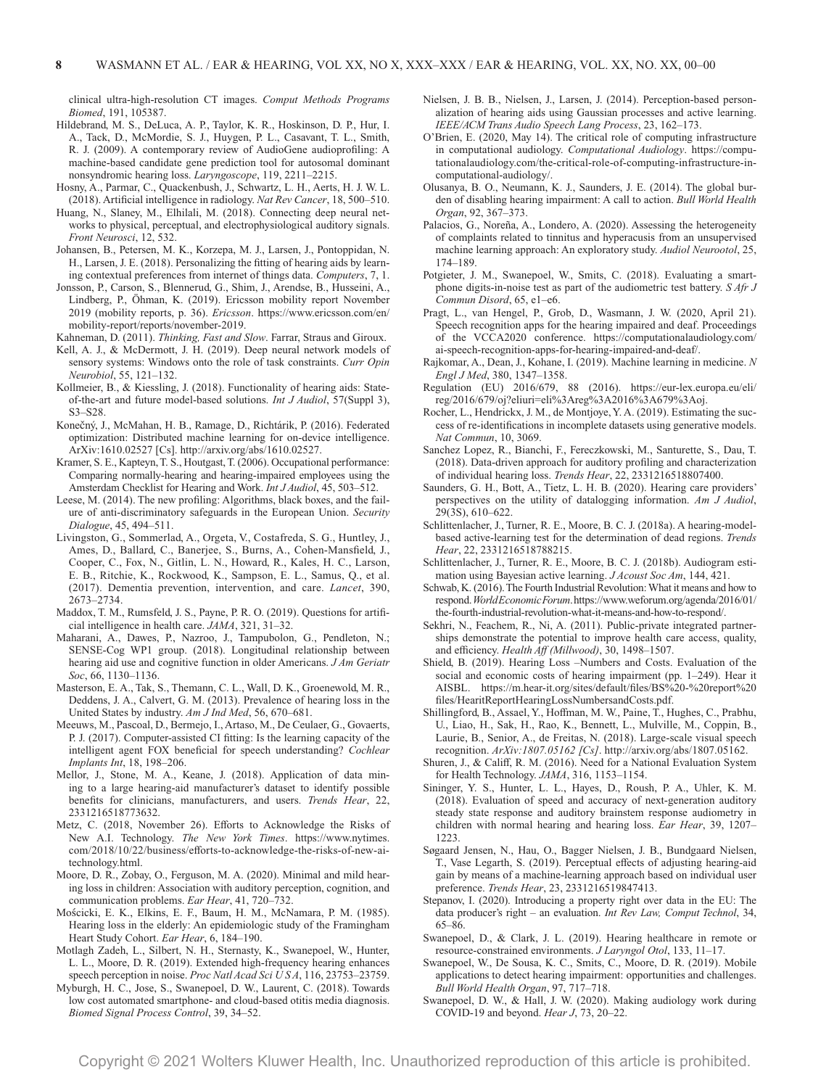clinical ultra-high-resolution CT images. *Comput Methods Programs Biomed*, 191, 105387.

- Hildebrand, M. S., DeLuca, A. P., Taylor, K. R., Hoskinson, D. P., Hur, I. A., Tack, D., McMordie, S. J., Huygen, P. L., Casavant, T. L., Smith, R. J. (2009). A contemporary review of AudioGene audioprofiling: A machine-based candidate gene prediction tool for autosomal dominant nonsyndromic hearing loss. *Laryngoscope*, 119, 2211–2215.
- Hosny, A., Parmar, C., Quackenbush, J., Schwartz, L. H., Aerts, H. J. W. L. (2018). Artificial intelligence in radiology. *Nat Rev Cancer*, 18, 500–510.
- Huang, N., Slaney, M., Elhilali, M. (2018). Connecting deep neural networks to physical, perceptual, and electrophysiological auditory signals. *Front Neurosci*, 12, 532.
- Johansen, B., Petersen, M. K., Korzepa, M. J., Larsen, J., Pontoppidan, N. H., Larsen, J. E. (2018). Personalizing the fitting of hearing aids by learning contextual preferences from internet of things data. *Computers*, 7, 1.
- Jonsson, P., Carson, S., Blennerud, G., Shim, J., Arendse, B., Husseini, A., Lindberg, P., Öhman, K. (2019). Ericsson mobility report November 2019 (mobility reports, p. 36). *Ericsson*. [https://www.ericsson.com/en/](https://www.ericsson.com/en/mobility-report/reports/november-2019) [mobility-report/reports/november-2019.](https://www.ericsson.com/en/mobility-report/reports/november-2019)

Kahneman, D. (2011). *Thinking, Fast and Slow*. Farrar, Straus and Giroux.

- Kell, A. J., & McDermott, J. H. (2019). Deep neural network models of sensory systems: Windows onto the role of task constraints. *Curr Opin Neurobiol*, 55, 121–132.
- Kollmeier, B., & Kiessling, J. (2018). Functionality of hearing aids: Stateof-the-art and future model-based solutions. *Int J Audiol*, 57(Suppl 3), S3–S28.
- Konečný, J., McMahan, H. B., Ramage, D., Richtárik, P. (2016). Federated optimization: Distributed machine learning for on-device intelligence. ArXiv:1610.02527 [Cs]. <http://arxiv.org/abs/1610.02527>.
- Kramer, S. E., Kapteyn, T. S., Houtgast, T. (2006). Occupational performance: Comparing normally-hearing and hearing-impaired employees using the Amsterdam Checklist for Hearing and Work. *Int J Audiol*, 45, 503–512.
- Leese, M. (2014). The new profiling: Algorithms, black boxes, and the failure of anti-discriminatory safeguards in the European Union. *Security Dialogue*, 45, 494–511.
- Livingston, G., Sommerlad, A., Orgeta, V., Costafreda, S. G., Huntley, J., Ames, D., Ballard, C., Banerjee, S., Burns, A., Cohen-Mansfield, J., Cooper, C., Fox, N., Gitlin, L. N., Howard, R., Kales, H. C., Larson, E. B., Ritchie, K., Rockwood, K., Sampson, E. L., Samus, Q., et al. (2017). Dementia prevention, intervention, and care. *Lancet*, 390, 2673–2734.
- Maddox, T. M., Rumsfeld, J. S., Payne, P. R. O. (2019). Questions for artificial intelligence in health care. *JAMA*, 321, 31–32.
- Maharani, A., Dawes, P., Nazroo, J., Tampubolon, G., Pendleton, N.; SENSE-Cog WP1 group. (2018). Longitudinal relationship between hearing aid use and cognitive function in older Americans. *J Am Geriatr Soc*, 66, 1130–1136.
- Masterson, E. A., Tak, S., Themann, C. L., Wall, D. K., Groenewold, M. R., Deddens, J. A., Calvert, G. M. (2013). Prevalence of hearing loss in the United States by industry. *Am J Ind Med*, 56, 670–681.
- Meeuws, M., Pascoal, D., Bermejo, I., Artaso, M., De Ceulaer, G., Govaerts, P. J. (2017). Computer-assisted CI fitting: Is the learning capacity of the intelligent agent FOX beneficial for speech understanding? *Cochlear Implants Int*, 18, 198–206.
- Mellor, J., Stone, M. A., Keane, J. (2018). Application of data mining to a large hearing-aid manufacturer's dataset to identify possible benefits for clinicians, manufacturers, and users. *Trends Hear*, 22, 2331216518773632.
- Metz, C. (2018, November 26). Efforts to Acknowledge the Risks of New A.I. Technology. *The New York Times*. [https://www.nytimes.](https://www.nytimes.com/2018/10/22/business/efforts-to-acknowledge-the-risks-of-new-ai-technology.html) [com/2018/10/22/business/efforts-to-acknowledge-the-risks-of-new-ai](https://www.nytimes.com/2018/10/22/business/efforts-to-acknowledge-the-risks-of-new-ai-technology.html)[technology.html](https://www.nytimes.com/2018/10/22/business/efforts-to-acknowledge-the-risks-of-new-ai-technology.html).
- Moore, D. R., Zobay, O., Ferguson, M. A. (2020). Minimal and mild hearing loss in children: Association with auditory perception, cognition, and communication problems. *Ear Hear*, 41, 720–732.
- Mościcki, E. K., Elkins, E. F., Baum, H. M., McNamara, P. M. (1985). Hearing loss in the elderly: An epidemiologic study of the Framingham Heart Study Cohort. *Ear Hear*, 6, 184–190.
- Motlagh Zadeh, L., Silbert, N. H., Sternasty, K., Swanepoel, W., Hunter, L. L., Moore, D. R. (2019). Extended high-frequency hearing enhances speech perception in noise. *Proc Natl Acad Sci U S A*, 116, 23753–23759.
- Myburgh, H. C., Jose, S., Swanepoel, D. W., Laurent, C. (2018). Towards low cost automated smartphone- and cloud-based otitis media diagnosis. *Biomed Signal Process Control*, 39, 34–52.
- Nielsen, J. B. B., Nielsen, J., Larsen, J. (2014). Perception-based personalization of hearing aids using Gaussian processes and active learning. *IEEE/ACM Trans Audio Speech Lang Process*, 23, 162–173.
- O'Brien, E. (2020, May 14). The critical role of computing infrastructure in computational audiology. *Computational Audiology*. [https://compu](https://computationalaudiology.com/the-critical-role-of-computing-infrastructure-in-computational-audiology/)[tationalaudiology.com/the-critical-role-of-computing-infrastructure-in](https://computationalaudiology.com/the-critical-role-of-computing-infrastructure-in-computational-audiology/)[computational-audiology/](https://computationalaudiology.com/the-critical-role-of-computing-infrastructure-in-computational-audiology/).
- Olusanya, B. O., Neumann, K. J., Saunders, J. E. (2014). The global burden of disabling hearing impairment: A call to action. *Bull World Health Organ*, 92, 367–373.
- Palacios, G., Noreña, A., Londero, A. (2020). Assessing the heterogeneity of complaints related to tinnitus and hyperacusis from an unsupervised machine learning approach: An exploratory study. *Audiol Neurootol*, 25, 174–189.
- Potgieter, J. M., Swanepoel, W., Smits, C. (2018). Evaluating a smartphone digits-in-noise test as part of the audiometric test battery. *S Afr J Commun Disord*, 65, e1–e6.
- Pragt, L., van Hengel, P., Grob, D., Wasmann, J. W. (2020, April 21). Speech recognition apps for the hearing impaired and deaf. Proceedings of the VCCA2020 conference. [https://computationalaudiology.com/](https://computationalaudiology.com/ai-speech-recognition-apps-for-hearing-impaired-and-deaf/) [ai-speech-recognition-apps-for-hearing-impaired-and-deaf/.](https://computationalaudiology.com/ai-speech-recognition-apps-for-hearing-impaired-and-deaf/)
- Rajkomar, A., Dean, J., Kohane, I. (2019). Machine learning in medicine. *N Engl J Med*, 380, 1347–1358.
- Regulation (EU) 2016/679, 88 (2016). [https://eur-lex.europa.eu/eli/](https://eur-lex.europa.eu/eli/reg/2016/679/oj?eliuri=eli%3Areg%3A2016%3A679%3Aoj) [reg/2016/679/oj?eliuri=eli%3Areg%3A2016%3A679%3Aoj.](https://eur-lex.europa.eu/eli/reg/2016/679/oj?eliuri=eli%3Areg%3A2016%3A679%3Aoj)
- Rocher, L., Hendrickx, J. M., de Montjoye, Y. A. (2019). Estimating the success of re-identifications in incomplete datasets using generative models. *Nat Commun*, 10, 3069.
- Sanchez Lopez, R., Bianchi, F., Fereczkowski, M., Santurette, S., Dau, T. (2018). Data-driven approach for auditory profiling and characterization of individual hearing loss. *Trends Hear*, 22, 2331216518807400.
- Saunders, G. H., Bott, A., Tietz, L. H. B. (2020). Hearing care providers' perspectives on the utility of datalogging information. *Am J Audiol*, 29(3S), 610–622.
- Schlittenlacher, J., Turner, R. E., Moore, B. C. J. (2018a). A hearing-modelbased active-learning test for the determination of dead regions. *Trends Hear*, 22, 2331216518788215.
- Schlittenlacher, J., Turner, R. E., Moore, B. C. J. (2018b). Audiogram estimation using Bayesian active learning. *J Acoust Soc Am*, 144, 421.
- Schwab, K. (2016). The Fourth Industrial Revolution: What it means and how to respond. *World Economic Forum*. [https://www.weforum.org/agenda/2016/01/](https://www.weforum.org/agenda/2016/01/the-fourth-industrial-revolution-what-it-means-and-how-to-respond/) [the-fourth-industrial-revolution-what-it-means-and-how-to-respond/](https://www.weforum.org/agenda/2016/01/the-fourth-industrial-revolution-what-it-means-and-how-to-respond/).
- Sekhri, N., Feachem, R., Ni, A. (2011). Public-private integrated partnerships demonstrate the potential to improve health care access, quality, and efficiency. *Health Aff (Millwood)*, 30, 1498–1507.
- Shield, B. (2019). Hearing Loss –Numbers and Costs. Evaluation of the social and economic costs of hearing impairment (pp. 1–249). Hear it AISBL. [https://m.hear-it.org/sites/default/files/BS%20-%20report%20](https://m.hear-it.org/sites/default/files/BS%20-%20report%20files/HearitReportHearingLossNumbersandCosts.pdf) [files/HearitReportHearingLossNumbersandCosts.pdf](https://m.hear-it.org/sites/default/files/BS%20-%20report%20files/HearitReportHearingLossNumbersandCosts.pdf).
- Shillingford, B., Assael, Y., Hoffman, M. W., Paine, T., Hughes, C., Prabhu, U., Liao, H., Sak, H., Rao, K., Bennett, L., Mulville, M., Coppin, B., Laurie, B., Senior, A., de Freitas, N. (2018). Large-scale visual speech recognition. *ArXiv:1807.05162 [Cs]*. [http://arxiv.org/abs/1807.05162.](http://arxiv.org/abs/1807.05162)
- Shuren, J., & Califf, R. M. (2016). Need for a National Evaluation System for Health Technology. *JAMA*, 316, 1153–1154.
- Sininger, Y. S., Hunter, L. L., Hayes, D., Roush, P. A., Uhler, K. M. (2018). Evaluation of speed and accuracy of next-generation auditory steady state response and auditory brainstem response audiometry in children with normal hearing and hearing loss. *Ear Hear*, 39, 1207– 1223.
- Søgaard Jensen, N., Hau, O., Bagger Nielsen, J. B., Bundgaard Nielsen, T., Vase Legarth, S. (2019). Perceptual effects of adjusting hearing-aid gain by means of a machine-learning approach based on individual user preference. *Trends Hear*, 23, 2331216519847413.
- Stepanov, I. (2020). Introducing a property right over data in the EU: The data producer's right – an evaluation. *Int Rev Law, Comput Technol*, 34, 65–86.
- Swanepoel, D., & Clark, J. L. (2019). Hearing healthcare in remote or resource-constrained environments. *J Laryngol Otol*, 133, 11–17.
- Swanepoel, W., De Sousa, K. C., Smits, C., Moore, D. R. (2019). Mobile applications to detect hearing impairment: opportunities and challenges. *Bull World Health Organ*, 97, 717–718.
- Swanepoel, D. W., & Hall, J. W. (2020). Making audiology work during COVID-19 and beyond. *Hear J*, 73, 20–22.